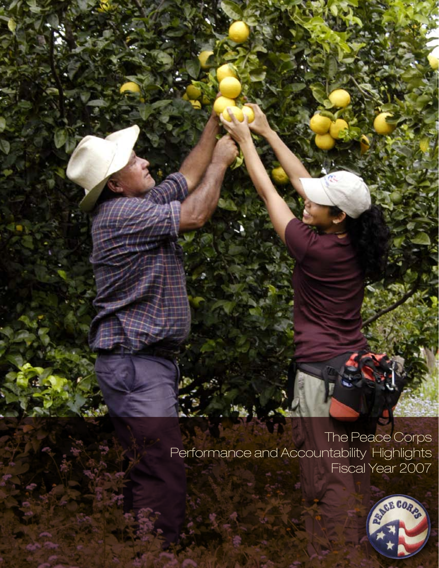The Peace Corps Performance and Accountability Highlights Fiscal Year 2007

Produced by the Peace Corps

Paul D. Coverdell Peace Corps Headquarters 1111 20th Street NW | Washington, DC 20526

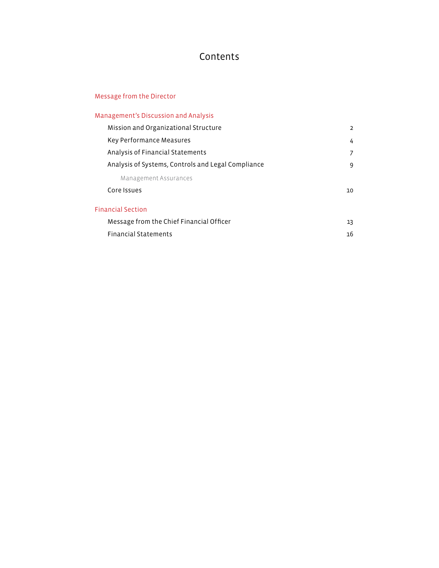# Contents

## Message from the Director

| Management's Discussion and Analysis               |                |
|----------------------------------------------------|----------------|
| Mission and Organizational Structure               | $\overline{2}$ |
| Key Performance Measures                           | 4              |
| Analysis of Financial Statements                   | 7              |
| Analysis of Systems, Controls and Legal Compliance | 9              |
| Management Assurances                              |                |
| Core Issues                                        | 10             |
| <b>Financial Section</b>                           |                |
| Message from the Chief Financial Officer           | 13             |
| <b>Financial Statements</b>                        | 16             |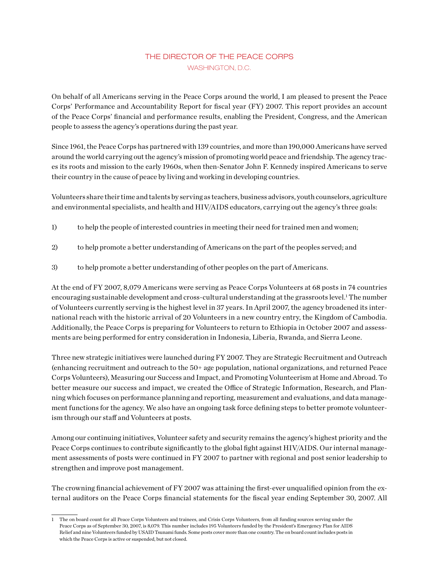## THE DIRECTOR OF THE PEACE CORPS WASHINGTON, D.C.

On behalf of all Americans serving in the Peace Corps around the world, I am pleased to present the Peace Corps' Performance and Accountability Report for fiscal year (FY) 2007. This report provides an account of the Peace Corps' financial and performance results, enabling the President, Congress, and the American people to assess the agency's operations during the past year.

Since 1961, the Peace Corps has partnered with 139 countries, and more than 190,000 Americans have served around the world carrying out the agency's mission of promoting world peace and friendship. The agency traces its roots and mission to the early 1960s, when then-Senator John F. Kennedy inspired Americans to serve their country in the cause of peace by living and working in developing countries.

Volunteers share their time and talents by serving as teachers, business advisors, youth counselors, agriculture and environmental specialists, and health and HIV/AIDS educators, carrying out the agency's three goals:

- 1) to help the people of interested countries in meeting their need for trained men and women;
- 2) to help promote a better understanding of Americans on the part of the peoples served; and
- 3) to help promote a better understanding of other peoples on the part of Americans.

At the end of FY 2007, 8,079 Americans were serving as Peace Corps Volunteers at 68 posts in 74 countries encouraging sustainable development and cross-cultural understanding at the grassroots level.<sup>1</sup> The number of Volunteers currently serving is the highest level in 37 years. In April 2007, the agency broadened its international reach with the historic arrival of 20 Volunteers in a new country entry, the Kingdom of Cambodia. Additionally, the Peace Corps is preparing for Volunteers to return to Ethiopia in October 2007 and assessments are being performed for entry consideration in Indonesia, Liberia, Rwanda, and Sierra Leone.

Three new strategic initiatives were launched during FY 2007. They are Strategic Recruitment and Outreach (enhancing recruitment and outreach to the 50+ age population, national organizations, and returned Peace Corps Volunteers), Measuring our Success and Impact, and Promoting Volunteerism at Home and Abroad. To better measure our success and impact, we created the Office of Strategic Information, Research, and Planning which focuses on performance planning and reporting, measurement and evaluations, and data management functions for the agency. We also have an ongoing task force defining steps to better promote volunteerism through our staff and Volunteers at posts.

Among our continuing initiatives, Volunteer safety and security remains the agency's highest priority and the Peace Corps continues to contribute significantly to the global fight against HIV/AIDS. Our internal management assessments of posts were continued in FY 2007 to partner with regional and post senior leadership to strengthen and improve post management.

The crowning financial achievement of FY 2007 was attaining the first-ever unqualified opinion from the external auditors on the Peace Corps financial statements for the fiscal year ending September 30, 2007. All

<sup>1</sup> The on board count for all Peace Corps Volunteers and trainees, and Crisis Corps Volunteers, from all funding sources serving under the Peace Corps as of September 30, 2007, is 8,079. This number includes 195 Volunteers funded by the President's Emergency Plan for AIDS Relief and nine Volunteers funded by USAID Tsunami funds. Some posts cover more than one country. The on board count includes posts in which the Peace Corps is active or suspended, but not closed.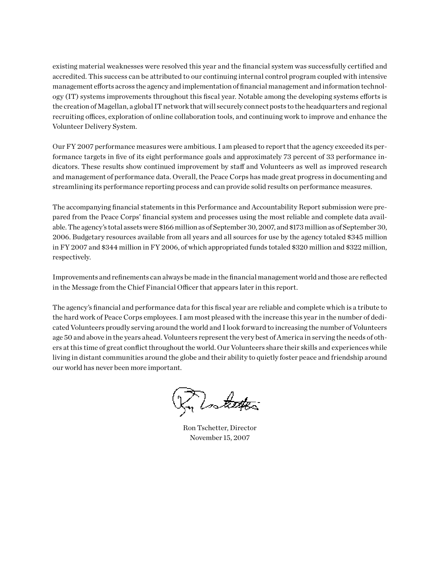existing material weaknesses were resolved this year and the financial system was successfully certified and accredited. This success can be attributed to our continuing internal control program coupled with intensive management efforts across the agency and implementation of financial management and information technology (IT) systems improvements throughout this fiscal year. Notable among the developing systems efforts is the creation of Magellan, a global IT network that will securely connect posts to the headquarters and regional recruiting offices, exploration of online collaboration tools, and continuing work to improve and enhance the Volunteer Delivery System.

Our FY 2007 performance measures were ambitious. I am pleased to report that the agency exceeded its performance targets in five of its eight performance goals and approximately 73 percent of 33 performance indicators. These results show continued improvement by staff and Volunteers as well as improved research and management of performance data. Overall, the Peace Corps has made great progress in documenting and streamlining its performance reporting process and can provide solid results on performance measures.

The accompanying financial statements in this Performance and Accountability Report submission were prepared from the Peace Corps' financial system and processes using the most reliable and complete data available. The agency's total assets were \$166 million as of September 30, 2007, and \$173 million as of September 30, 2006. Budgetary resources available from all years and all sources for use by the agency totaled \$345 million in FY 2007 and \$344 million in FY 2006, of which appropriated funds totaled \$320 million and \$322 million, respectively.

Improvements and refinements can always be made in the financial management world and those are reflected in the Message from the Chief Financial Officer that appears later in this report.

The agency's financial and performance data for this fiscal year are reliable and complete which is a tribute to the hard work of Peace Corps employees. I am most pleased with the increase this year in the number of dedicated Volunteers proudly serving around the world and I look forward to increasing the number of Volunteers age 50 and above in the years ahead. Volunteers represent the very best of America in serving the needs of others at this time of great conflict throughout the world. Our Volunteers share their skills and experiences while living in distant communities around the globe and their ability to quietly foster peace and friendship around our world has never been more important.

m Lostattes

Ron Tschetter, Director November 15, 2007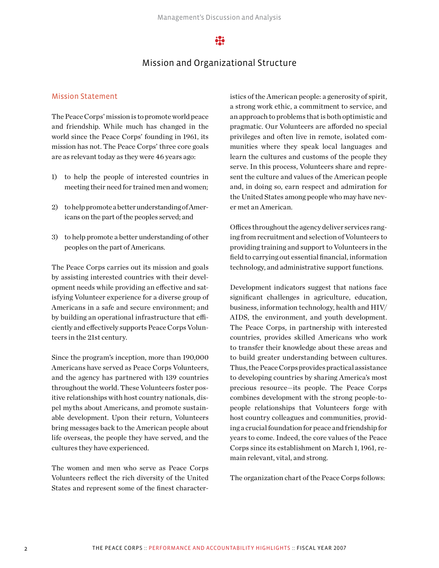## Mission and Organizational Structure

#### Mission Statement

The Peace Corps' mission is to promote world peace and friendship. While much has changed in the world since the Peace Corps' founding in 1961, its mission has not. The Peace Corps' three core goals are as relevant today as they were 46 years ago:

- 1) to help the people of interested countries in meeting their need for trained men and women;
- 2) to help promote a better understanding of Americans on the part of the peoples served; and
- 3) to help promote a better understanding of other peoples on the part of Americans.

The Peace Corps carries out its mission and goals by assisting interested countries with their development needs while providing an effective and satisfying Volunteer experience for a diverse group of Americans in a safe and secure environment; and by building an operational infrastructure that efficiently and effectively supports Peace Corps Volunteers in the 21st century.

Since the program's inception, more than 190,000 Americans have served as Peace Corps Volunteers, and the agency has partnered with 139 countries throughout the world. These Volunteers foster positive relationships with host country nationals, dispel myths about Americans, and promote sustainable development. Upon their return, Volunteers bring messages back to the American people about life overseas, the people they have served, and the cultures they have experienced.

The women and men who serve as Peace Corps Volunteers reflect the rich diversity of the United States and represent some of the finest characteristics of the American people: a generosity of spirit, a strong work ethic, a commitment to service, and an approach to problems that is both optimistic and pragmatic. Our Volunteers are afforded no special privileges and often live in remote, isolated communities where they speak local languages and learn the cultures and customs of the people they serve. In this process, Volunteers share and represent the culture and values of the American people and, in doing so, earn respect and admiration for the United States among people who may have never met an American*.* 

Offices throughout the agency deliver services ranging from recruitment and selection of Volunteers to providing training and support to Volunteers in the field to carrying out essential financial, information technology, and administrative support functions.

Development indicators suggest that nations face significant challenges in agriculture, education, business, information technology, health and HIV/ AIDS, the environment, and youth development. The Peace Corps, in partnership with interested countries, provides skilled Americans who work to transfer their knowledge about these areas and to build greater understanding between cultures. Thus, the Peace Corps provides practical assistance to developing countries by sharing America's most precious resource—its people. The Peace Corps combines development with the strong people-topeople relationships that Volunteers forge with host country colleagues and communities, providing a crucial foundation for peace and friendship for years to come. Indeed, the core values of the Peace Corps since its establishment on March 1, 1961, remain relevant, vital, and strong.

The organization chart of the Peace Corps follows: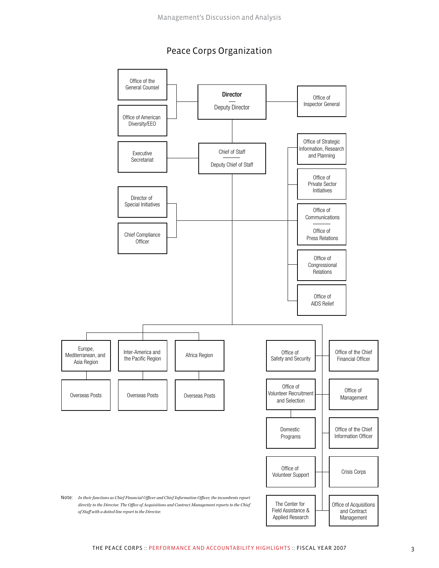

## Peace Corps Organization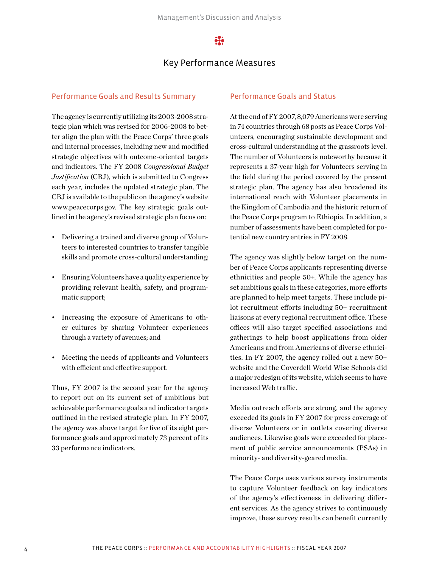## Key Performance Measures

#### Performance Goals and Results Summary

The agency is currently utilizing its 2003-2008 strategic plan which was revised for 2006-2008 to better align the plan with the Peace Corps' three goals and internal processes, including new and modified strategic objectives with outcome-oriented targets and indicators. The FY 2008 *Congressional Budget Justification* (CBJ), which is submitted to Congress each year, includes the updated strategic plan. The CBJ is available to the public on the agency's website www.peacecorps.gov. The key strategic goals outlined in the agency's revised strategic plan focus on:

- Delivering a trained and diverse group of Volunteers to interested countries to transfer tangible skills and promote cross-cultural understanding;
- • EnsuringVolunteers have a quality experience by providing relevant health, safety, and programmatic support;
- Increasing the exposure of Americans to other cultures by sharing Volunteer experiences through a variety of avenues; and
- • Meeting the needs of applicants and Volunteers with efficient and effective support.

Thus, FY 2007 is the second year for the agency to report out on its current set of ambitious but achievable performance goals and indicator targets outlined in the revised strategic plan*.* In FY 2007, the agency was above target for five of its eight performance goals and approximately 73 percent of its 33 performance indicators.

#### Performance Goals and Status

At the end of FY 2007, 8,079 Americans were serving in 74 countries through 68 posts as Peace Corps Volunteers, encouraging sustainable development and cross-cultural understanding at the grassroots level. The number of Volunteers is noteworthy because it represents a 37-year high for Volunteers serving in the field during the period covered by the present strategic plan. The agency has also broadened its international reach with Volunteer placements in the Kingdom of Cambodia and the historic return of the Peace Corps program to Ethiopia. In addition, a number of assessments have been completed for potential new country entries in FY 2008.

The agency was slightly below target on the number of Peace Corps applicants representing diverse ethnicities and people 50+. While the agency has set ambitious goals in these categories, more efforts are planned to help meet targets. These include pilot recruitment efforts including 50+ recruitment liaisons at every regional recruitment office. These offices will also target specified associations and gatherings to help boost applications from older Americans and from Americans of diverse ethnicities. In FY 2007, the agency rolled out a new 50+ website and the Coverdell World Wise Schools did a major redesign of its website, which seems to have increased Web traffic.

Media outreach efforts are strong, and the agency exceeded its goals in FY 2007 for press coverage of diverse Volunteers or in outlets covering diverse audiences. Likewise goals were exceeded for placement of public service announcements (PSAs) in minority- and diversity-geared media.

The Peace Corps uses various survey instruments to capture Volunteer feedback on key indicators of the agency's effectiveness in delivering different services. As the agency strives to continuously improve, these survey results can benefit currently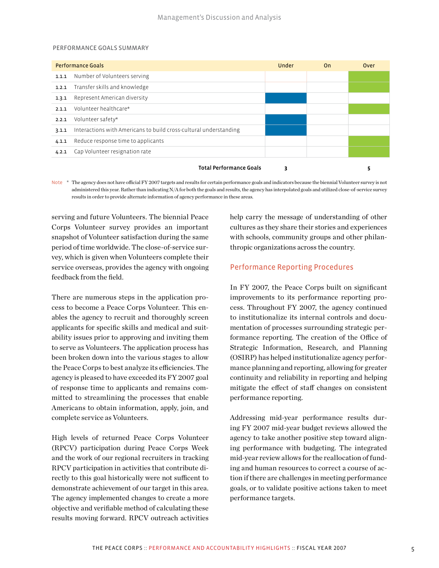#### Performance Goals Summary

|       | <b>Performance Goals</b>                                          | Under | On. | Over |
|-------|-------------------------------------------------------------------|-------|-----|------|
| 1.1.1 | Number of Volunteers serving                                      |       |     |      |
| 1.2.1 | Transfer skills and knowledge                                     |       |     |      |
| 1.3.1 | Represent American diversity                                      |       |     |      |
| 2.1.1 | Volunteer healthcare*                                             |       |     |      |
| 2.2.1 | Volunteer safety*                                                 |       |     |      |
| 3.1.1 | Interactions with Americans to build cross-cultural understanding |       |     |      |
| 4.1.1 | Reduce response time to applicants                                |       |     |      |
| 4.2.1 | Cap Volunteer resignation rate                                    |       |     |      |
|       | <b>Total Performance Goals</b>                                    |       |     |      |

Note \* The agency does not have official FY 2007 targets and results for certain performance goals and indicators because the biennial Volunteer survey is not administered this year. Rather than indicating N/A for both the goals and results, the agency has interpolated goals and utilized close-of-service survey results in order to provide alternate information of agency performance in these areas.

serving and future Volunteers. The biennial Peace Corps Volunteer survey provides an important snapshot of Volunteer satisfaction during the same period of time worldwide. The close-of-service survey, which is given when Volunteers complete their service overseas, provides the agency with ongoing feedback from the field.

There are numerous steps in the application process to become a Peace Corps Volunteer*.* This enables the agency to recruit and thoroughly screen applicants for specific skills and medical and suitability issues prior to approving and inviting them to serve as Volunteers. The application process has been broken down into the various stages to allow the Peace Corps to best analyze its efficiencies. The agency is pleased to have exceeded its FY 2007 goal of response time to applicants and remains committed to streamlining the processes that enable Americans to obtain information, apply, join, and complete service as Volunteers.

High levels of returned Peace Corps Volunteer (RPCV) participation during Peace Corps Week and the work of our regional recruiters in tracking RPCV participation in activities that contribute directly to this goal historically were not sufficent to demonstrate achievement of our target in this area. The agency implemented changes to create a more objective and verifiable method of calculating these results moving forward. RPCV outreach activities

help carry the message of understanding of other cultures as they share their stories and experiences with schools, community groups and other philanthropic organizations across the country.

### Performance Reporting Procedures

In FY 2007, the Peace Corps built on significant improvements to its performance reporting process. Throughout FY 2007, the agency continued to institutionalize its internal controls and documentation of processes surrounding strategic performance reporting. The creation of the Office of Strategic Information, Research, and Planning (OSIRP) has helped institutionalize agency performance planning and reporting, allowing for greater continuity and reliability in reporting and helping mitigate the effect of staff changes on consistent performance reporting.

Addressing mid-year performance results during FY 2007 mid-year budget reviews allowed the agency to take another positive step toward aligning performance with budgeting. The integrated mid-year review allows for the reallocation of funding and human resources to correct a course of action if there are challenges in meeting performance goals, or to validate positive actions taken to meet performance targets.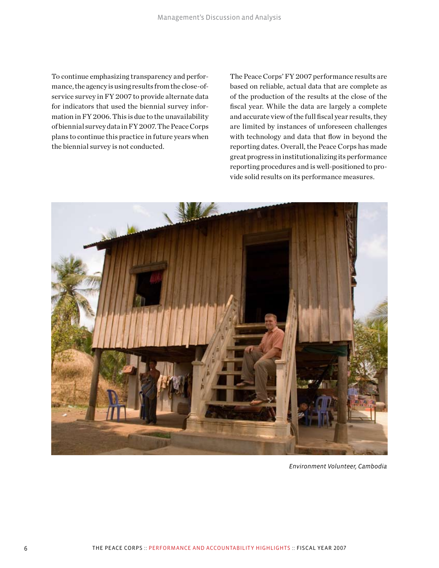To continue emphasizing transparency and performance, the agency is using results from the close-ofservice survey in FY 2007 to provide alternate data for indicators that used the biennial survey information in FY 2006. This is due to the unavailability of biennial survey data in FY 2007. The Peace Corps plans to continue this practice in future years when the biennial survey is not conducted.

The Peace Corps' FY 2007 performance results are based on reliable, actual data that are complete as of the production of the results at the close of the fiscal year. While the data are largely a complete and accurate view of the full fiscal year results, they are limited by instances of unforeseen challenges with technology and data that flow in beyond the reporting dates. Overall, the Peace Corps has made great progress in institutionalizing its performance reporting procedures and is well-positioned to provide solid results on its performance measures.



*Environment Volunteer, Cambodia*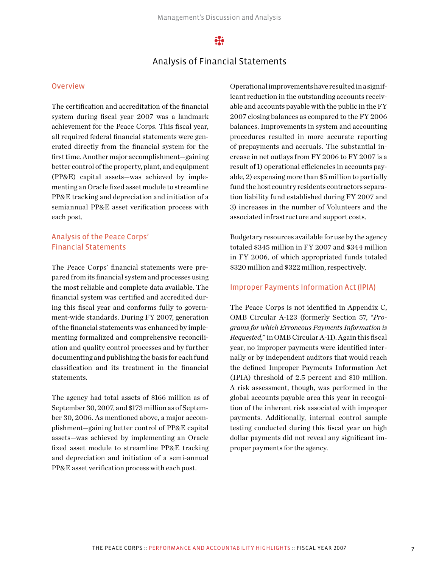## Analysis of Financial Statements

#### **Overview**

The certification and accreditation of the financial system during fiscal year 2007 was a landmark achievement for the Peace Corps. This fiscal year, all required federal financial statements were generated directly from the financial system for the first time. Another major accomplishment—gaining better control of the property, plant, and equipment (PP&E) capital assets—was achieved by implementing an Oracle fixed asset module to streamline PP&E tracking and depreciation and initiation of a semiannual PP&E asset verification process with each post.

## Analysis of the Peace Corps' Financial Statements

The Peace Corps' financial statements were prepared from its financial system and processes using the most reliable and complete data available. The financial system was certified and accredited during this fiscal year and conforms fully to government-wide standards. During FY 2007, generation of the financial statements was enhanced by implementing formalized and comprehensive reconciliation and quality control processes and by further documenting and publishing the basis for each fund classification and its treatment in the financial statements.

The agency had total assets of \$166 million as of September 30, 2007, and \$173 million as of September 30, 2006. As mentioned above, a major accomplishment—gaining better control of PP&E capital assets—was achieved by implementing an Oracle fixed asset module to streamline PP&E tracking and depreciation and initiation of a semi-annual PP&E asset verification process with each post.

Operational improvements have resulted in a significant reduction in the outstanding accounts receivable and accounts payable with the public in the FY 2007 closing balances as compared to the FY 2006 balances. Improvements in system and accounting procedures resulted in more accurate reporting of prepayments and accruals. The substantial increase in net outlays from FY 2006 to FY 2007 is a result of 1) operational efficiencies in accounts payable, 2) expensing more than \$5 million to partially fund the host country residents contractors separation liability fund established during FY 2007 and 3) increases in the number of Volunteers and the associated infrastructure and support costs.

Budgetary resources available for use by the agency totaled \$345 million in FY 2007 and \$344 million in FY 2006, of which appropriated funds totaled \$320 million and \$322 million, respectively.

#### Improper Payments Information Act (IPIA)

The Peace Corps is not identified in Appendix C, OMB Circular A-123 (formerly Section 57, "*Programs for which Erroneous Payments Information is Requested*," in OMB Circular A-11). Again this fiscal year, no improper payments were identified internally or by independent auditors that would reach the defined Improper Payments Information Act (IPIA) threshold of 2.5 percent and \$10 million. A risk assessment, though, was performed in the global accounts payable area this year in recognition of the inherent risk associated with improper payments. Additionally, internal control sample testing conducted during this fiscal year on high dollar payments did not reveal any significant improper payments for the agency.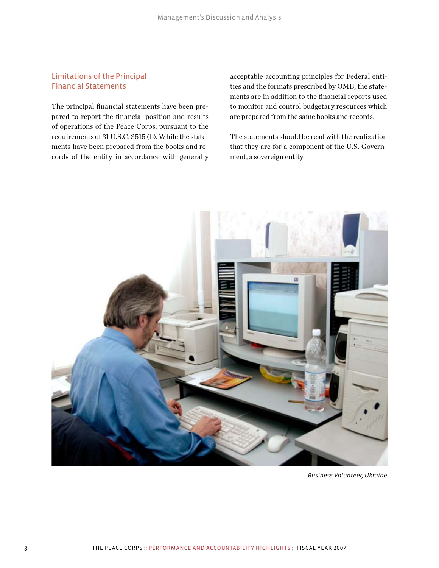### Limitations of the Principal Financial Statements

The principal financial statements have been prepared to report the financial position and results of operations of the Peace Corps, pursuant to the requirements of 31 U.S.C. 3515 (b). While the statements have been prepared from the books and records of the entity in accordance with generally acceptable accounting principles for Federal entities and the formats prescribed by OMB, the statements are in addition to the financial reports used to monitor and control budgetary resources which are prepared from the same books and records.

The statements should be read with the realization that they are for a component of the U.S. Government, a sovereign entity.



*Business Volunteer, Ukraine*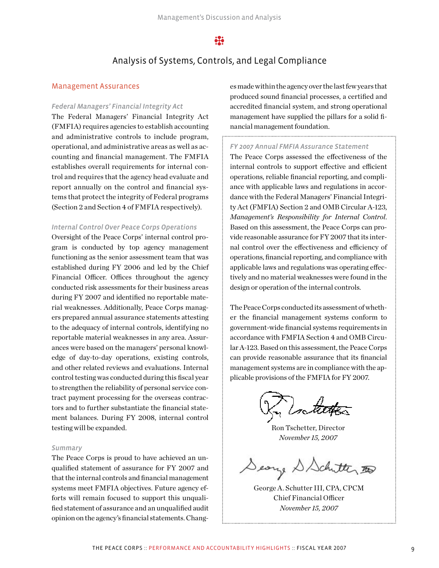## öĮö

## Analysis of Systems, Controls, and Legal Compliance

#### Management Assurances

#### *Federal Managers' Financial Integrity Act*

The Federal Managers' Financial Integrity Act (FMFIA) requires agencies to establish accounting and administrative controls to include program, operational, and administrative areas as well as accounting and financial management. The FMFIA establishes overall requirements for internal control and requires that the agency head evaluate and report annually on the control and financial systems that protect the integrity of Federal programs (Section 2 and Section 4 of FMFIA respectively).

#### *Internal Control Over Peace Corps Operations*

Oversight of the Peace Corps' internal control program is conducted by top agency management functioning as the senior assessment team that was established during FY 2006 and led by the Chief Financial Officer. Offices throughout the agency conducted risk assessments for their business areas during FY 2007 and identified no reportable material weaknesses. Additionally, Peace Corps managers prepared annual assurance statements attesting to the adequacy of internal controls, identifying no reportable material weaknesses in any area. Assurances were based on the managers' personal knowledge of day-to-day operations, existing controls, and other related reviews and evaluations. Internal control testing was conducted during this fiscal year to strengthen the reliability of personal service contract payment processing for the overseas contractors and to further substantiate the financial statement balances. During FY 2008, internal control testing will be expanded.

#### *Summary*

The Peace Corps is proud to have achieved an unqualified statement of assurance for FY 2007 and that the internal controls and financial management systems meet FMFIA objectives. Future agency efforts will remain focused to support this unqualified statement of assurance and an unqualified audit opinion on the agency's financial statements. Changes made within the agency over the last few years that produced sound financial processes, a certified and accredited financial system, and strong operational management have supplied the pillars for a solid financial management foundation.

#### *FY 2007 Annual FMFIA Assurance Statement*

The Peace Corps assessed the effectiveness of the internal controls to support effective and efficient operations, reliable financial reporting, and compliance with applicable laws and regulations in accordance with the Federal Managers' Financial Integrity Act (FMFIA) Section 2 and OMB Circular A-123, *Management's Responsibility for Internal Control*. Based on this assessment, the Peace Corps can provide reasonable assurance for FY 2007 that its internal control over the effectiveness and efficiency of operations, financial reporting, and compliance with applicable laws and regulations was operating effectively and no material weaknesses were found in the design or operation of the internal controls.

The Peace Corps conducted its assessment of whether the financial management systems conform to government-wide financial systems requirements in accordance with FMFIA Section 4 and OMB Circular A-123. Based on this assessment, the Peace Corps can provide reasonable assurance that its financial management systems are in compliance with the applicable provisions of the FMFIA for FY 2007.

Ron Tschetter, Director *November 15, 2007*

Seary S Schutter Is

George A. Schutter III, CPA, CPCM Chief Financial Officer *November 15, 2007*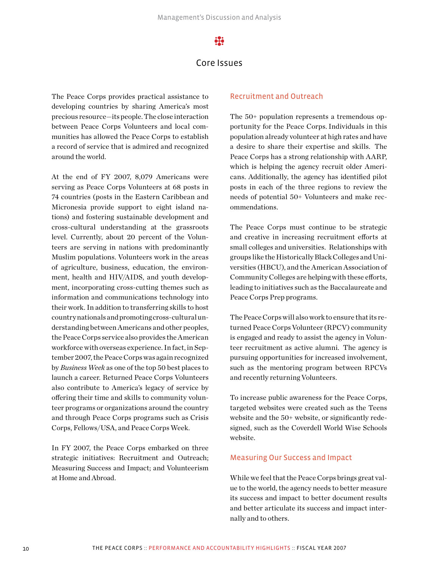### Core Issues

The Peace Corps provides practical assistance to developing countries by sharing America's most precious resource—its people. The close interaction between Peace Corps Volunteers and local communities has allowed the Peace Corps to establish a record of service that is admired and recognized around the world.

At the end of FY 2007, 8,079 Americans were serving as Peace Corps Volunteers at 68 posts in 74 countries (posts in the Eastern Caribbean and Micronesia provide support to eight island nations) and fostering sustainable development and cross-cultural understanding at the grassroots level. Currently, about 20 percent of the Volunteers are serving in nations with predominantly Muslim populations. Volunteers work in the areas of agriculture, business, education, the environment, health and HIV/AIDS, and youth development, incorporating cross-cutting themes such as information and communications technology into their work. In addition to transferring skills to host country nationals and promoting cross-cultural understanding between Americans and other peoples, the Peace Corps service also provides the American workforce with overseas experience. In fact, in September 2007, the Peace Corps was again recognized by *Business Week* as one of the top 50 best places to launch a career*.* Returned Peace Corps Volunteers also contribute to America's legacy of service by offering their time and skills to community volunteer programs or organizations around the country and through Peace Corps programs such as Crisis Corps, Fellows/USA, and Peace Corps Week.

In FY 2007, the Peace Corps embarked on three strategic initiatives: Recruitment and Outreach; Measuring Success and Impact; and Volunteerism at Home and Abroad.

#### Recruitment and Outreach

The 50+ population represents a tremendous opportunity for the Peace Corps. Individuals in this population already volunteer at high rates and have a desire to share their expertise and skills. The Peace Corps has a strong relationship with AARP, which is helping the agency recruit older Americans. Additionally, the agency has identified pilot posts in each of the three regions to review the needs of potential 50+ Volunteers and make recommendations.

The Peace Corps must continue to be strategic and creative in increasing recruitment efforts at small colleges and universities. Relationships with groups like the Historically Black Colleges and Universities (HBCU), and the American Association of Community Colleges are helping with these efforts, leading to initiatives such as the Baccalaureate and Peace Corps Prep programs.

The Peace Corps will also work to ensure that its returned Peace Corps Volunteer (RPCV) community is engaged and ready to assist the agency in Volunteer recruitment as active alumni. The agency is pursuing opportunities for increased involvement, such as the mentoring program between RPCVs and recently returning Volunteers.

To increase public awareness for the Peace Corps, targeted websites were created such as the Teens website and the 50+ website, or significantly redesigned, such as the Coverdell World Wise Schools website.

### Measuring Our Success and Impact

While we feel that the Peace Corps brings great value to the world, the agency needs to better measure its success and impact to better document results and better articulate its success and impact internally and to others.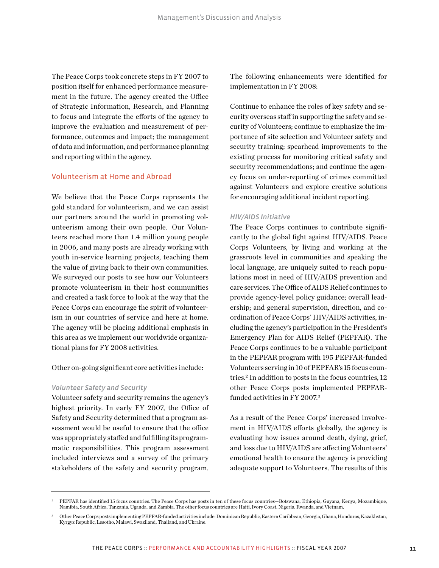The Peace Corps took concrete steps in FY 2007 to position itself for enhanced performance measurement in the future. The agency created the Office of Strategic Information, Research, and Planning to focus and integrate the efforts of the agency to improve the evaluation and measurement of performance, outcomes and impact; the management of data and information, and performance planning and reporting within the agency.

#### Volunteerism at Home and Abroad

We believe that the Peace Corps represents the gold standard for volunteerism, and we can assist our partners around the world in promoting volunteerism among their own people. Our Volunteers reached more than 1.4 million young people in 2006, and many posts are already working with youth in-service learning projects, teaching them the value of giving back to their own communities. We surveyed our posts to see how our Volunteers promote volunteerism in their host communities and created a task force to look at the way that the Peace Corps can encourage the spirit of volunteerism in our countries of service and here at home. The agency will be placing additional emphasis in this area as we implement our worldwide organizational plans for FY 2008 activities.

Other on-going significant core activities include:

#### *Volunteer Safety and Security*

Volunteer safety and security remains the agency's highest priority. In early FY 2007, the Office of Safety and Security determined that a program assessment would be useful to ensure that the office was appropriately staffed and fulfilling its programmatic responsibilities. This program assessment included interviews and a survey of the primary stakeholders of the safety and security program.

The following enhancements were identified for implementation in FY 2008:

Continue to enhance the roles of key safety and security overseas staff in supporting the safety and security of Volunteers; continue to emphasize the importance of site selection and Volunteer safety and security training; spearhead improvements to the existing process for monitoring critical safety and security recommendations; and continue the agency focus on under-reporting of crimes committed against Volunteers and explore creative solutions for encouraging additional incident reporting.

#### *HIV/AIDS Initiative*

The Peace Corps continues to contribute significantly to the global fight against HIV/AIDS. Peace Corps Volunteers, by living and working at the grassroots level in communities and speaking the local language, are uniquely suited to reach populations most in need of HIV/AIDS prevention and care services. The Office of AIDS Relief continues to provide agency-level policy guidance; overall leadership; and general supervision, direction, and coordination of Peace Corps' HIV/AIDS activities, including the agency's participation in the President's Emergency Plan for AIDS Relief (PEPFAR). The Peace Corps continues to be a valuable participant in the PEPFAR program with 195 PEPFAR-funded Volunteers serving in 10 of PEPFAR's 15 focus countries.2 In addition to posts in the focus countries, 12 other Peace Corps posts implemented PEPFARfunded activities in FY 2007.<sup>3</sup>

As a result of the Peace Corps' increased involvement in HIV/AIDS efforts globally, the agency is evaluating how issues around death, dying, grief, and loss due to HIV/AIDS are affecting Volunteers' emotional health to ensure the agency is providing adequate support to Volunteers. The results of this

<sup>2</sup> PEPFAR has identified 15 focus countries. The Peace Corps has posts in ten of these focus countries—Botswana, Ethiopia, Guyana, Kenya, Mozambique, Namibia, South Africa, Tanzania, Uganda, and Zambia. The other focus countries are Haiti, Ivory Coast, Nigeria, Rwanda, and Vietnam.

<sup>3</sup> Other Peace Corps posts implementing PEPFAR-funded activities include: Dominican Republic, Eastern Caribbean, Georgia, Ghana, Honduras, Kazakhstan, Kyrgyz Republic, Lesotho, Malawi, Swaziland, Thailand, and Ukraine.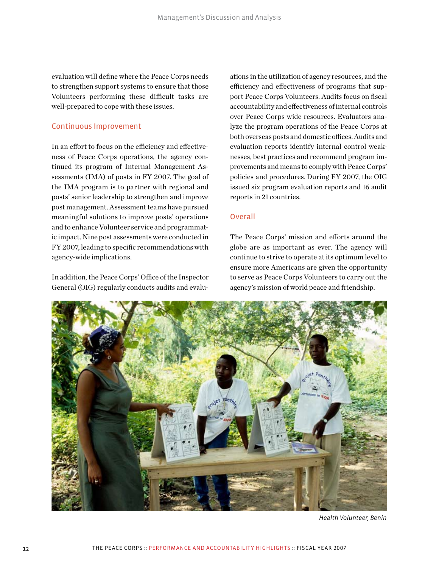evaluation will define where the Peace Corps needs to strengthen support systems to ensure that those Volunteers performing these difficult tasks are well-prepared to cope with these issues.

#### Continuous Improvement

In an effort to focus on the efficiency and effectiveness of Peace Corps operations, the agency continued its program of Internal Management Assessments (IMA) of posts in FY 2007. The goal of the IMA program is to partner with regional and posts' senior leadership to strengthen and improve post management. Assessment teams have pursued meaningful solutions to improve posts' operations and to enhance Volunteer service and programmatic impact. Nine post assessments were conducted in FY 2007, leading to specific recommendations with agency-wide implications.

In addition, the Peace Corps' Office of the Inspector General (OIG) regularly conducts audits and evaluations in the utilization of agency resources, and the efficiency and effectiveness of programs that support Peace Corps Volunteers. Audits focus on fiscal accountability and effectiveness of internal controls over Peace Corps wide resources. Evaluators analyze the program operations of the Peace Corps at both overseas posts and domestic offices. Audits and evaluation reports identify internal control weaknesses, best practices and recommend program improvements and means to comply with Peace Corps' policies and procedures. During FY 2007, the OIG issued six program evaluation reports and 16 audit reports in 21 countries.

### Overall

The Peace Corps' mission and efforts around the globe are as important as ever. The agency will continue to strive to operate at its optimum level to ensure more Americans are given the opportunity to serve as Peace Corps Volunteers to carry out the agency's mission of world peace and friendship.



*Health Volunteer, Benin*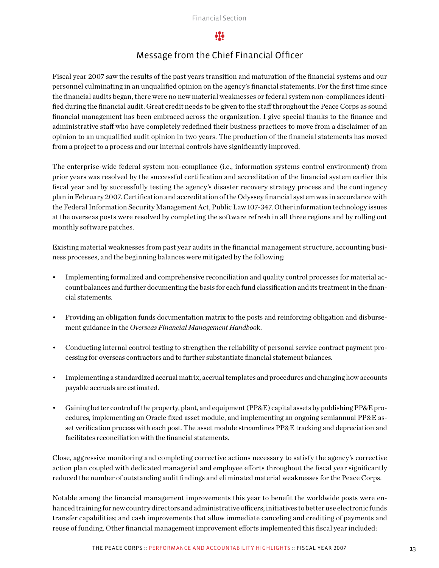## Message from the Chief Financial Officer

Fiscal year 2007 saw the results of the past years transition and maturation of the financial systems and our personnel culminating in an unqualified opinion on the agency's financial statements. For the first time since the financial audits began, there were no new material weaknesses or federal system non-compliances identified during the financial audit. Great credit needs to be given to the staff throughout the Peace Corps as sound financial management has been embraced across the organization. I give special thanks to the finance and administrative staff who have completely redefined their business practices to move from a disclaimer of an opinion to an unqualified audit opinion in two years. The production of the financial statements has moved from a project to a process and our internal controls have significantly improved.

The enterprise-wide federal system non-compliance (i.e., information systems control environment) from prior years was resolved by the successful certification and accreditation of the financial system earlier this fiscal year and by successfully testing the agency's disaster recovery strategy process and the contingency plan in February 2007. Certification and accreditation of the Odyssey financial system was in accordance with the Federal Information Security Management Act, Public Law 107-347. Other information technology issues at the overseas posts were resolved by completing the software refresh in all three regions and by rolling out monthly software patches.

Existing material weaknesses from past year audits in the financial management structure, accounting business processes, and the beginning balances were mitigated by the following:

- Implementing formalized and comprehensive reconciliation and quality control processes for material account balances and further documenting the basis for each fund classification and its treatment in the financial statements.
- Providing an obligation funds documentation matrix to the posts and reinforcing obligation and disbursement guidance in the *Overseas Financial Management Handboo*k.
- Conducting internal control testing to strengthen the reliability of personal service contract payment processing for overseas contractors and to further substantiate financial statement balances.
- Implementing a standardized accrual matrix, accrual templates and procedures and changing how accounts payable accruals are estimated.
- Gaining better control of the property, plant, and equipment (PP&E) capital assets by publishing PP&E procedures, implementing an Oracle fixed asset module, and implementing an ongoing semiannual PP&E asset verification process with each post. The asset module streamlines PP&E tracking and depreciation and facilitates reconciliation with the financial statements.

Close, aggressive monitoring and completing corrective actions necessary to satisfy the agency's corrective action plan coupled with dedicated managerial and employee efforts throughout the fiscal year significantly reduced the number of outstanding audit findings and eliminated material weaknesses for the Peace Corps.

Notable among the financial management improvements this year to benefit the worldwide posts were enhanced training for new country directors and administrative officers; initiatives to better use electronic funds transfer capabilities; and cash improvements that allow immediate canceling and crediting of payments and reuse of funding. Other financial management improvement efforts implemented this fiscal year included: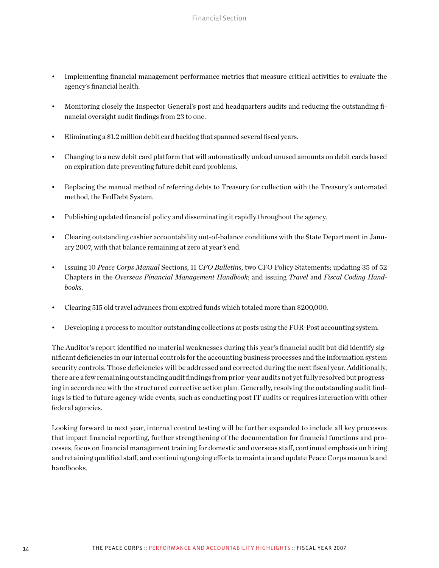- Implementing financial management performance metrics that measure critical activities to evaluate the agency's financial health.
- Monitoring closely the Inspector General's post and headquarters audits and reducing the outstanding financial oversight audit findings from 23 to one.
- • Eliminating a \$1.2 million debit card backlog that spanned several fiscal years.
- Changing to a new debit card platform that will automatically unload unused amounts on debit cards based on expiration date preventing future debit card problems.
- Replacing the manual method of referring debts to Treasury for collection with the Treasury's automated method, the FedDebt System.
- • Publishing updated financial policy and disseminating it rapidly throughout the agency.
- • Clearing outstanding cashier accountability out-of-balance conditions with the State Department in January 2007, with that balance remaining at zero at year's end.
- Issuing 10 *Peace Corps Manual* Sections, 11 *CFO Bulletins*, two CFO Policy Statements; updating 35 of 52 Chapters in the *Overseas Financial Management Handbook*; and issuing *Travel* and *Fiscal Coding Handbooks*.
- Clearing 515 old travel advances from expired funds which totaled more than \$200,000.
- Developing a process to monitor outstanding collections at posts using the FOR-Post accounting system.

The Auditor's report identified no material weaknesses during this year's financial audit but did identify significant deficiencies in our internal controls for the accounting business processes and the information system security controls. Those deficiencies will be addressed and corrected during the next fiscal year. Additionally, there are a few remaining outstanding audit findings from prior-year audits not yet fully resolved but progressing in accordance with the structured corrective action plan. Generally, resolving the outstanding audit findings is tied to future agency-wide events, such as conducting post IT audits or requires interaction with other federal agencies.

Looking forward to next year, internal control testing will be further expanded to include all key processes that impact financial reporting, further strengthening of the documentation for financial functions and processes, focus on financial management training for domestic and overseas staff, continued emphasis on hiring and retaining qualified staff, and continuing ongoing efforts to maintain and update Peace Corps manuals and handbooks.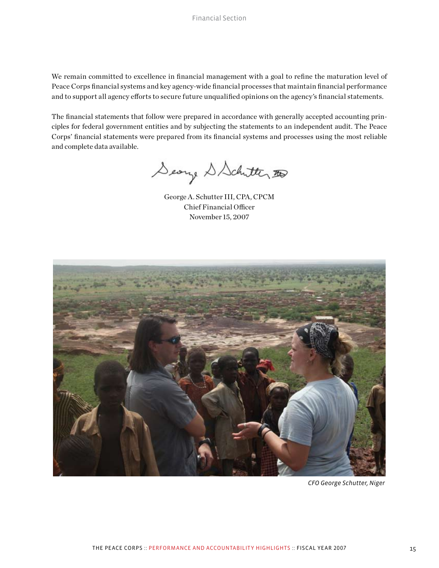We remain committed to excellence in financial management with a goal to refine the maturation level of Peace Corps financial systems and key agency-wide financial processes that maintain financial performance and to support all agency efforts to secure future unqualified opinions on the agency's financial statements.

The financial statements that follow were prepared in accordance with generally accepted accounting principles for federal government entities and by subjecting the statements to an independent audit. The Peace Corps' financial statements were prepared from its financial systems and processes using the most reliable and complete data available.

Seary S Schutter to

George A. Schutter III, CPA, CPCM Chief Financial Officer November 15, 2007



*CFO George Schutter, Niger*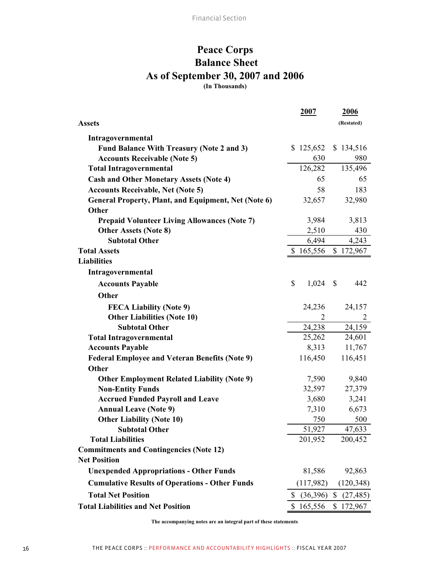# **Peace Corps Balance Sheet As of September 30, 2007 and 2006 (In Thousands)**

|                                                                       | 2007                |              | 2006                     |
|-----------------------------------------------------------------------|---------------------|--------------|--------------------------|
| <b>Assets</b>                                                         |                     |              | (Restated)               |
| Intragovernmental                                                     |                     |              |                          |
| <b>Fund Balance With Treasury (Note 2 and 3)</b>                      | \$125,652           |              | \$134,516                |
| <b>Accounts Receivable (Note 5)</b>                                   | 630                 |              | 980                      |
| <b>Total Intragovernmental</b>                                        | 126,282             |              | 135,496                  |
| <b>Cash and Other Monetary Assets (Note 4)</b>                        | 65                  |              | 65                       |
| <b>Accounts Receivable, Net (Note 5)</b>                              | 58                  |              | 183                      |
| General Property, Plant, and Equipment, Net (Note 6)                  | 32,657              |              | 32,980                   |
| Other                                                                 |                     |              |                          |
| <b>Prepaid Volunteer Living Allowances (Note 7)</b>                   | 3,984               |              | 3,813                    |
| <b>Other Assets (Note 8)</b>                                          | 2,510               |              | 430                      |
| <b>Subtotal Other</b>                                                 | 6,494               |              | 4,243                    |
| <b>Total Assets</b>                                                   | \$165,556           |              | \$172,967                |
| <b>Liabilities</b>                                                    |                     |              |                          |
| Intragovernmental                                                     |                     |              |                          |
| <b>Accounts Payable</b>                                               | \$<br>1,024         | $\mathbb{S}$ | 442                      |
| Other                                                                 |                     |              |                          |
| <b>FECA Liability (Note 9)</b>                                        | 24,236              |              | 24,157                   |
| <b>Other Liabilities (Note 10)</b>                                    | 2                   |              | 2                        |
| <b>Subtotal Other</b>                                                 | 24,238              |              | 24,159                   |
| <b>Total Intragovernmental</b>                                        | 25,262              |              | 24,601                   |
| <b>Accounts Payable</b>                                               | 8,313               |              | 11,767                   |
| <b>Federal Employee and Veteran Benefits (Note 9)</b>                 | 116,450             |              | 116,451                  |
| <b>Other</b>                                                          |                     |              |                          |
| <b>Other Employment Related Liability (Note 9)</b>                    | 7,590               |              | 9,840                    |
| <b>Non-Entity Funds</b>                                               | 32,597              |              | 27,379                   |
| <b>Accrued Funded Payroll and Leave</b>                               | 3,680               |              | 3,241                    |
| <b>Annual Leave (Note 9)</b>                                          | 7,310               |              | 6,673                    |
| <b>Other Liability (Note 10)</b>                                      | 750                 |              | 500                      |
| <b>Subtotal Other</b>                                                 | 51,927              |              | 47,633                   |
| <b>Total Liabilities</b>                                              | 201,952             |              | 200,452                  |
| <b>Commitments and Contingencies (Note 12)</b><br><b>Net Position</b> |                     |              |                          |
| <b>Unexpended Appropriations - Other Funds</b>                        | 81,586              |              | 92,863                   |
| <b>Cumulative Results of Operations - Other Funds</b>                 | (117,982)           |              | (120, 348)               |
| <b>Total Net Position</b>                                             |                     |              | $$$ (36,396) \$ (27,485) |
| <b>Total Liabilities and Net Position</b>                             | \$165,556 \$172,967 |              |                          |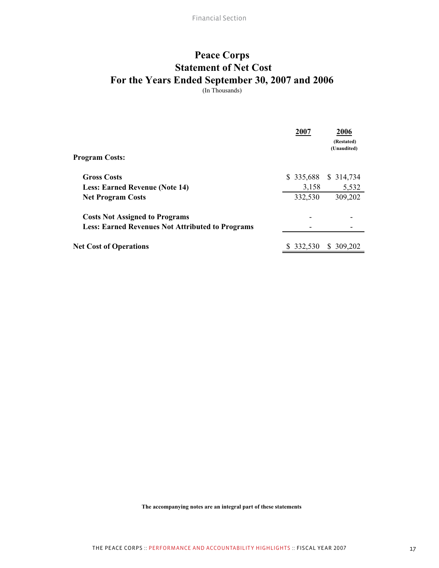# **Peace Corps Statement of Net Cost For the Years Ended September 30, 2007 and 2006**

(In Thousands)

| <b>Program Costs:</b>                                   | 2007       |               |
|---------------------------------------------------------|------------|---------------|
|                                                         |            |               |
| <b>Gross Costs</b>                                      | \$335,688  | \$ 314,734    |
| <b>Less: Earned Revenue (Note 14)</b>                   | 3,158      | 5,532         |
| <b>Net Program Costs</b>                                | 332,530    | 309,202       |
| <b>Costs Not Assigned to Programs</b>                   |            |               |
| <b>Less: Earned Revenues Not Attributed to Programs</b> |            |               |
| <b>Net Cost of Operations</b>                           | \$ 332,530 | 309.202<br>S. |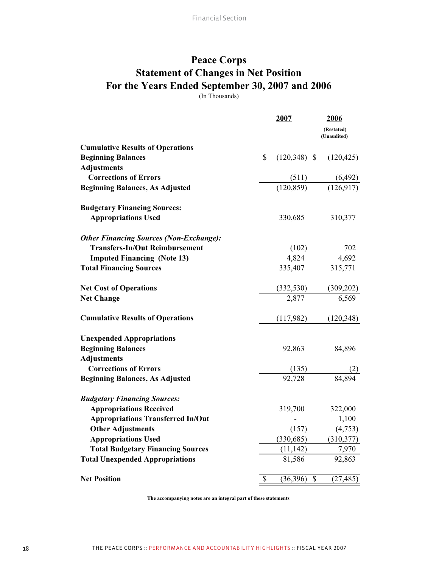# **Peace Corps Statement of Changes in Net Position For the Years Ended September 30, 2007 and 2006**

(In Thousands)

|                                                |              | 2007                      | 2006                        |  |  |
|------------------------------------------------|--------------|---------------------------|-----------------------------|--|--|
|                                                |              |                           | (Restated)<br>(Unaudited)   |  |  |
| <b>Cumulative Results of Operations</b>        |              |                           |                             |  |  |
| <b>Beginning Balances</b>                      | $\mathbb{S}$ | $(120,348)$ \$            | (120, 425)                  |  |  |
| <b>Adjustments</b>                             |              |                           |                             |  |  |
| <b>Corrections of Errors</b>                   |              | $\frac{(511)}{(120,859)}$ | $\frac{(6,492)}{(126.917)}$ |  |  |
| <b>Beginning Balances, As Adjusted</b>         |              |                           |                             |  |  |
| <b>Budgetary Financing Sources:</b>            |              |                           |                             |  |  |
| <b>Appropriations Used</b>                     |              | 330,685                   | 310,377                     |  |  |
| <b>Other Financing Sources (Non-Exchange):</b> |              |                           |                             |  |  |
| <b>Transfers-In/Out Reimbursement</b>          |              | (102)                     | 702                         |  |  |
| <b>Imputed Financing (Note 13)</b>             |              | 4,824                     | 4,692                       |  |  |
| <b>Total Financing Sources</b>                 |              | 335,407                   | 315,771                     |  |  |
| <b>Net Cost of Operations</b>                  |              | (332, 530)                | (309,202)                   |  |  |
| <b>Net Change</b>                              |              | 2,877                     | 6,569                       |  |  |
| <b>Cumulative Results of Operations</b>        |              | (117,982)                 | (120, 348)                  |  |  |
| <b>Unexpended Appropriations</b>               |              |                           |                             |  |  |
| <b>Beginning Balances</b>                      |              | 92,863                    | 84,896                      |  |  |
| <b>Adjustments</b>                             |              |                           |                             |  |  |
| <b>Corrections of Errors</b>                   |              |                           |                             |  |  |
| <b>Beginning Balances, As Adjusted</b>         |              | $\frac{(135)}{92,728}$    |                             |  |  |
| <b>Budgetary Financing Sources:</b>            |              |                           |                             |  |  |
| <b>Appropriations Received</b>                 |              | 319,700                   | 322,000                     |  |  |
| <b>Appropriations Transferred In/Out</b>       |              |                           | 1,100                       |  |  |
| <b>Other Adjustments</b>                       |              | (157)                     | (4,753)                     |  |  |
| <b>Appropriations Used</b>                     |              | (330, 685)                | (310, 377)                  |  |  |
| <b>Total Budgetary Financing Sources</b>       |              | (11, 142)                 | 7,970                       |  |  |
| <b>Total Unexpended Appropriations</b>         |              | 81,586                    | 92,863                      |  |  |
| <b>Net Position</b>                            | $\$$         | (36, 396)                 | \$<br>(27, 485)             |  |  |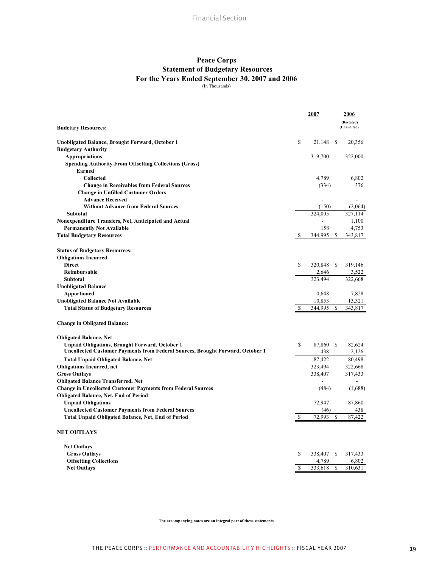## **Peace Corps Statement of Budgetary Resources For the Years Ended September 30, 2007 and 2006** (In Thousands)

| <b>Budetary Resources:</b>                                                            |               | <u> 2007</u>             |    | <u> 2006</u><br>(Restated)<br>(Unaudited) |
|---------------------------------------------------------------------------------------|---------------|--------------------------|----|-------------------------------------------|
| Unobligated Balance, Brought Forward, October 1                                       | \$            | 21,148                   | \$ | 20,356                                    |
| <b>Budgetary Authority</b>                                                            |               |                          |    |                                           |
| <b>Appropriations</b>                                                                 |               | 319,700                  |    | 322,000                                   |
| <b>Spending Authority From Offsetting Collections (Gross)</b><br><b>Earned</b>        |               |                          |    |                                           |
| Collected                                                                             |               | 4,789                    |    | 6,802                                     |
| <b>Change in Receivables from Federal Sources</b>                                     |               | (334)                    |    | 376                                       |
| <b>Change in Unfilled Customer Orders</b>                                             |               |                          |    |                                           |
| <b>Advance Received</b>                                                               |               | $\overline{a}$           |    | L,                                        |
| <b>Without Advance from Federal Sources</b>                                           |               | (150)                    |    | (2,064)                                   |
| Subtotal                                                                              |               | 324,005                  |    | 327,114                                   |
| Nonexpenditure Transfers, Net, Anticipated and Actual                                 |               | $\overline{a}$           |    | 1,100                                     |
| <b>Permanently Not Available</b>                                                      |               | 158                      |    | 4,753                                     |
| <b>Total Budgetary Resources</b>                                                      | \$            | 344.995                  | S  | 343,817                                   |
|                                                                                       |               |                          |    |                                           |
| <b>Status of Budgetary Resources:</b>                                                 |               |                          |    |                                           |
| <b>Obligations Incurred</b>                                                           |               |                          |    |                                           |
| <b>Direct</b>                                                                         | S             | 320,848                  | S  | 319,146                                   |
| Reimbursable                                                                          |               | 2,646                    |    | 3,522                                     |
| <b>Subtotal</b>                                                                       |               | 323,494                  |    | 322,668                                   |
| <b>Unobligated Balance</b>                                                            |               |                          |    |                                           |
| Apportioned                                                                           |               | 10,648                   |    | 7,828                                     |
| <b>Unobligated Balance Not Available</b>                                              |               | 10,853                   |    | 13,321                                    |
| <b>Total Status of Budgetary Resources</b>                                            | \$            | 344,995                  | \$ | 343,817                                   |
| <b>Change in Obligated Balance:</b>                                                   |               |                          |    |                                           |
| <b>Obligated Balance, Net</b>                                                         |               |                          |    |                                           |
| <b>Unpaid Obligations, Brought Forward, October 1</b>                                 | \$            | 87,860                   | -S | 82,624                                    |
| <b>Uncollected Customer Payments from Federal Sources, Brought Forward, October 1</b> |               | 438                      |    | 2,126                                     |
| <b>Total Unpaid Obligated Balance, Net</b>                                            |               | 87,422                   |    | 80,498                                    |
| <b>Obligations Incurred, net</b>                                                      |               | 323,494                  |    | 322,668                                   |
| <b>Gross Outlays</b>                                                                  |               | 338,407                  |    | 317,433                                   |
| <b>Obligated Balance Transferred, Net</b>                                             |               | $\overline{\phantom{a}}$ |    | $\overline{a}$                            |
| <b>Change in Uncollected Customer Payments from Federal Sources</b>                   |               | (484)                    |    | (1,688)                                   |
| <b>Obligated Balance, Net, End of Period</b>                                          |               |                          |    |                                           |
| <b>Unpaid Obligations</b>                                                             |               | 72,947                   |    | 87,860                                    |
| <b>Uncollected Customer Payments from Federal Sources</b>                             |               | (46)                     |    | 438                                       |
| Total Unpaid Obligated Balance, Net, End of Period                                    | <sup>\$</sup> | 72.993                   | S  | 87.422                                    |
| <b>NET OUTLAYS</b>                                                                    |               |                          |    |                                           |
| <b>Net Outlays</b>                                                                    |               |                          |    |                                           |
| <b>Gross Outlays</b>                                                                  | \$            | 338,407                  | -S | 317,433                                   |
| <b>Offsetting Collections</b>                                                         |               | 4,789                    |    | 6,802                                     |
| <b>Net Outlays</b>                                                                    | <sup>\$</sup> | 333,618                  | S  | 310,631                                   |